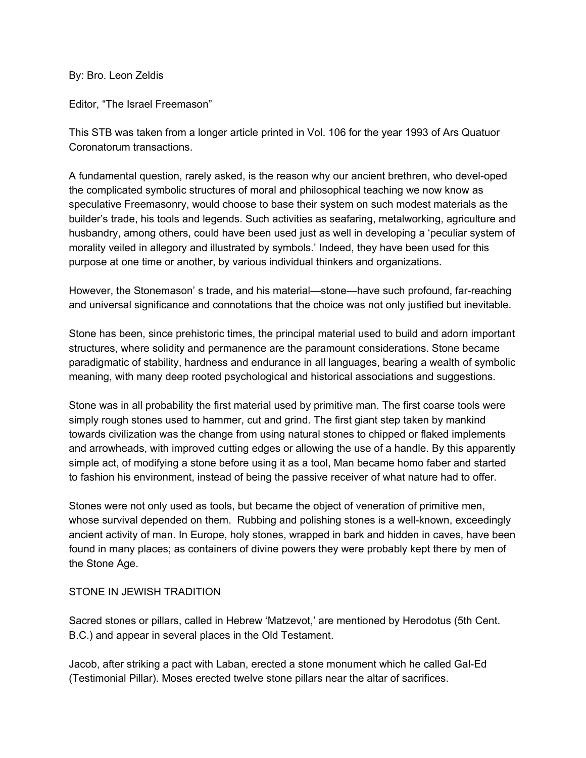By: Bro. Leon Zeldis

Editor, "The Israel Freemason"

This STB was taken from a longer article printed in Vol. 106 for the year 1993 of Ars Quatuor Coronatorum transactions.

A fundamental question, rarely asked, is the reason why our ancient brethren, who devel-oped the complicated symbolic structures of moral and philosophical teaching we now know as speculative Freemasonry, would choose to base their system on such modest materials as the builder's trade, his tools and legends. Such activities as seafaring, metalworking, agriculture and husbandry, among others, could have been used just as well in developing a 'peculiar system of morality veiled in allegory and illustrated by symbols.' Indeed, they have been used for this purpose at one time or another, by various individual thinkers and organizations.

However, the Stonemason' s trade, and his material—stone—have such profound, far-reaching and universal significance and connotations that the choice was not only justified but inevitable.

Stone has been, since prehistoric times, the principal material used to build and adorn important structures, where solidity and permanence are the paramount considerations. Stone became paradigmatic of stability, hardness and endurance in all languages, bearing a wealth of symbolic meaning, with many deep rooted psychological and historical associations and suggestions.

Stone was in all probability the first material used by primitive man. The first coarse tools were simply rough stones used to hammer, cut and grind. The first giant step taken by mankind towards civilization was the change from using natural stones to chipped or flaked implements and arrowheads, with improved cutting edges or allowing the use of a handle. By this apparently simple act, of modifying a stone before using it as a tool, Man became homo faber and started to fashion his environment, instead of being the passive receiver of what nature had to offer.

Stones were not only used as tools, but became the object of veneration of primitive men, whose survival depended on them. Rubbing and polishing stones is a well-known, exceedingly ancient activity of man. In Europe, holy stones, wrapped in bark and hidden in caves, have been found in many places; as containers of divine powers they were probably kept there by men of the Stone Age.

## STONE IN JEWISH TRADITION

Sacred stones or pillars, called in Hebrew 'Matzevot,' are mentioned by Herodotus (5th Cent. B.C.) and appear in several places in the Old Testament.

Jacob, after striking a pact with Laban, erected a stone monument which he called Gal-Ed (Testimonial Pillar). Moses erected twelve stone pillars near the altar of sacrifices.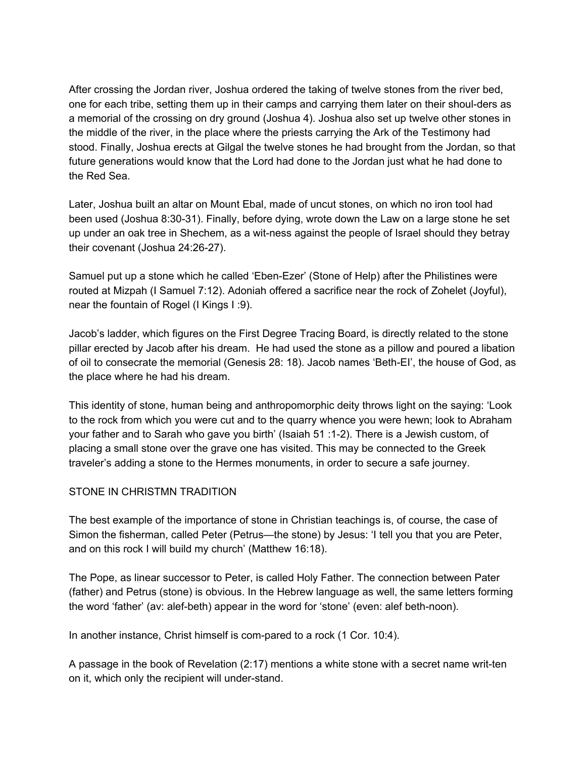After crossing the Jordan river, Joshua ordered the taking of twelve stones from the river bed, one for each tribe, setting them up in their camps and carrying them later on their shoul-ders as a memorial of the crossing on dry ground (Joshua 4). Joshua also set up twelve other stones in the middle of the river, in the place where the priests carrying the Ark of the Testimony had stood. Finally, Joshua erects at Gilgal the twelve stones he had brought from the Jordan, so that future generations would know that the Lord had done to the Jordan just what he had done to the Red Sea.

Later, Joshua built an altar on Mount Ebal, made of uncut stones, on which no iron tool had been used (Joshua 8:30-31). Finally, before dying, wrote down the Law on a large stone he set up under an oak tree in Shechem, as a wit-ness against the people of Israel should they betray their covenant (Joshua 24:26-27).

Samuel put up a stone which he called 'Eben-Ezer' (Stone of Help) after the Philistines were routed at Mizpah (I Samuel 7:12). Adoniah offered a sacrifice near the rock of Zohelet (Joyful), near the fountain of Rogel (I Kings I :9).

Jacob's ladder, which figures on the First Degree Tracing Board, is directly related to the stone pillar erected by Jacob after his dream. He had used the stone as a pillow and poured a libation of oil to consecrate the memorial (Genesis 28: 18). Jacob names 'Beth-EI', the house of God, as the place where he had his dream.

This identity of stone, human being and anthropomorphic deity throws light on the saying: 'Look to the rock from which you were cut and to the quarry whence you were hewn; look to Abraham your father and to Sarah who gave you birth' (Isaiah 51 :1-2). There is a Jewish custom, of placing a small stone over the grave one has visited. This may be connected to the Greek traveler's adding a stone to the Hermes monuments, in order to secure a safe journey.

## STONE IN CHRISTMN TRADITION

The best example of the importance of stone in Christian teachings is, of course, the case of Simon the fisherman, called Peter (Petrus—the stone) by Jesus: 'I tell you that you are Peter, and on this rock I will build my church' (Matthew 16:18).

The Pope, as linear successor to Peter, is called Holy Father. The connection between Pater (father) and Petrus (stone) is obvious. In the Hebrew language as well, the same letters forming the word 'father' (av: alef-beth) appear in the word for 'stone' (even: alef beth-noon).

In another instance, Christ himself is com-pared to a rock (1 Cor. 10:4).

A passage in the book of Revelation (2:17) mentions a white stone with a secret name writ-ten on it, which only the recipient will under-stand.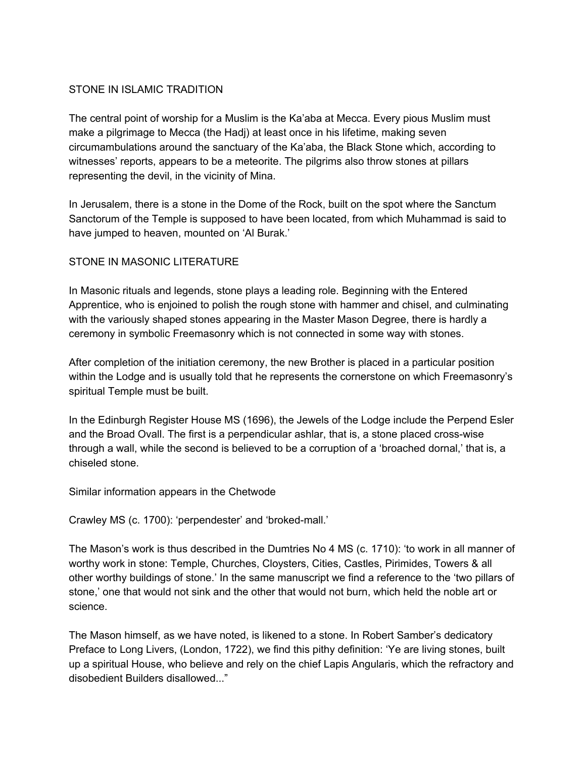## STONE IN ISLAMIC TRADITION

The central point of worship for a Muslim is the Ka'aba at Mecca. Every pious Muslim must make a pilgrimage to Mecca (the Hadj) at least once in his lifetime, making seven circumambulations around the sanctuary of the Ka'aba, the Black Stone which, according to witnesses' reports, appears to be a meteorite. The pilgrims also throw stones at pillars representing the devil, in the vicinity of Mina.

In Jerusalem, there is a stone in the Dome of the Rock, built on the spot where the Sanctum Sanctorum of the Temple is supposed to have been located, from which Muhammad is said to have jumped to heaven, mounted on 'Al Burak.'

## STONE IN MASONIC LITERATURE

In Masonic rituals and legends, stone plays a leading role. Beginning with the Entered Apprentice, who is enjoined to polish the rough stone with hammer and chisel, and culminating with the variously shaped stones appearing in the Master Mason Degree, there is hardly a ceremony in symbolic Freemasonry which is not connected in some way with stones.

After completion of the initiation ceremony, the new Brother is placed in a particular position within the Lodge and is usually told that he represents the cornerstone on which Freemasonry's spiritual Temple must be built.

In the Edinburgh Register House MS (1696), the Jewels of the Lodge include the Perpend Esler and the Broad Ovall. The first is a perpendicular ashlar, that is, a stone placed cross-wise through a wall, while the second is believed to be a corruption of a 'broached dornal,' that is, a chiseled stone.

Similar information appears in the Chetwode

Crawley MS (c. 1700): 'perpendester' and 'broked-mall.'

The Mason's work is thus described in the Dumtries No 4 MS (c. 1710): 'to work in all manner of worthy work in stone: Temple, Churches, Cloysters, Cities, Castles, Pirimides, Towers & all other worthy buildings of stone.' In the same manuscript we find a reference to the 'two pillars of stone,' one that would not sink and the other that would not burn, which held the noble art or science.

The Mason himself, as we have noted, is likened to a stone. In Robert Samber's dedicatory Preface to Long Livers, (London, 1722), we find this pithy definition: 'Ye are living stones, built up a spiritual House, who believe and rely on the chief Lapis Angularis, which the refractory and disobedient Builders disallowed..."